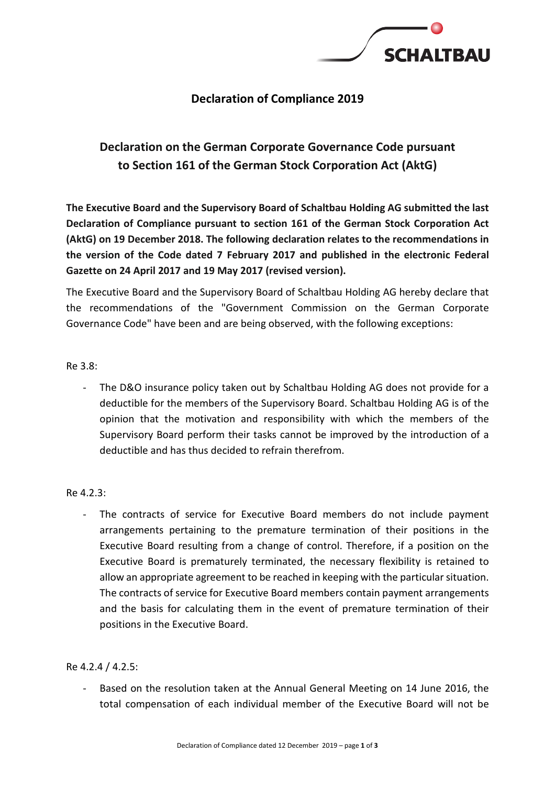

## **Declaration of Compliance 2019**

# **Declaration on the German Corporate Governance Code pursuant to Section 161 of the German Stock Corporation Act (AktG)**

**The Executive Board and the Supervisory Board of Schaltbau Holding AG submitted the last Declaration of Compliance pursuant to section 161 of the German Stock Corporation Act (AktG) on 19 December 2018. The following declaration relates to the recommendations in the version of the Code dated 7 February 2017 and published in the electronic Federal Gazette on 24 April 2017 and 19 May 2017 (revised version).**

The Executive Board and the Supervisory Board of Schaltbau Holding AG hereby declare that the recommendations of the "Government Commission on the German Corporate Governance Code" have been and are being observed, with the following exceptions:

### Re 3.8:

The D&O insurance policy taken out by Schaltbau Holding AG does not provide for a deductible for the members of the Supervisory Board. Schaltbau Holding AG is of the opinion that the motivation and responsibility with which the members of the Supervisory Board perform their tasks cannot be improved by the introduction of a deductible and has thus decided to refrain therefrom.

#### Re 4.2.3:

The contracts of service for Executive Board members do not include payment arrangements pertaining to the premature termination of their positions in the Executive Board resulting from a change of control. Therefore, if a position on the Executive Board is prematurely terminated, the necessary flexibility is retained to allow an appropriate agreement to be reached in keeping with the particular situation. The contracts of service for Executive Board members contain payment arrangements and the basis for calculating them in the event of premature termination of their positions in the Executive Board.

#### Re 4.2.4 / 4.2.5:

Based on the resolution taken at the Annual General Meeting on 14 June 2016, the total compensation of each individual member of the Executive Board will not be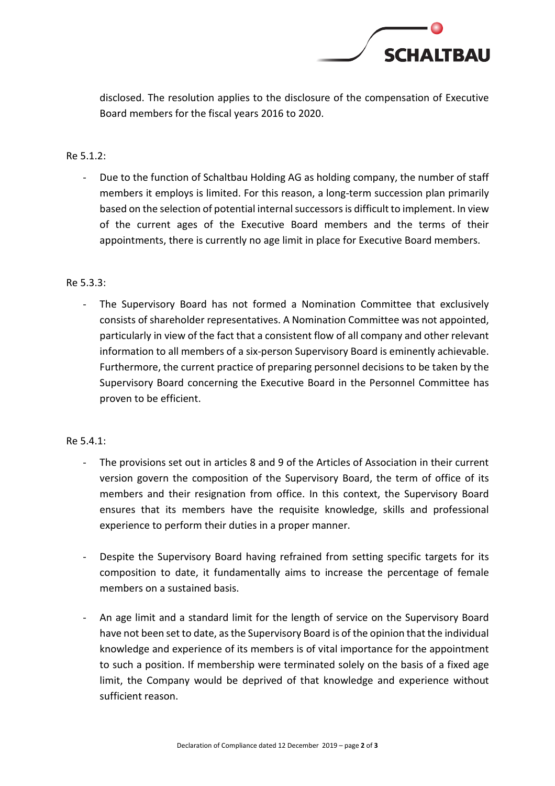

disclosed. The resolution applies to the disclosure of the compensation of Executive Board members for the fiscal years 2016 to 2020.

### Re 5.1.2:

Due to the function of Schaltbau Holding AG as holding company, the number of staff members it employs is limited. For this reason, a long-term succession plan primarily based on the selection of potential internal successors is difficult to implement. In view of the current ages of the Executive Board members and the terms of their appointments, there is currently no age limit in place for Executive Board members.

#### Re 5.3.3:

- The Supervisory Board has not formed a Nomination Committee that exclusively consists of shareholder representatives. A Nomination Committee was not appointed, particularly in view of the fact that a consistent flow of all company and other relevant information to all members of a six-person Supervisory Board is eminently achievable. Furthermore, the current practice of preparing personnel decisions to be taken by the Supervisory Board concerning the Executive Board in the Personnel Committee has proven to be efficient.

#### Re 5.4.1:

- The provisions set out in articles 8 and 9 of the Articles of Association in their current version govern the composition of the Supervisory Board, the term of office of its members and their resignation from office. In this context, the Supervisory Board ensures that its members have the requisite knowledge, skills and professional experience to perform their duties in a proper manner.
- Despite the Supervisory Board having refrained from setting specific targets for its composition to date, it fundamentally aims to increase the percentage of female members on a sustained basis.
- An age limit and a standard limit for the length of service on the Supervisory Board have not been set to date, asthe Supervisory Board is of the opinion that the individual knowledge and experience of its members is of vital importance for the appointment to such a position. If membership were terminated solely on the basis of a fixed age limit, the Company would be deprived of that knowledge and experience without sufficient reason.